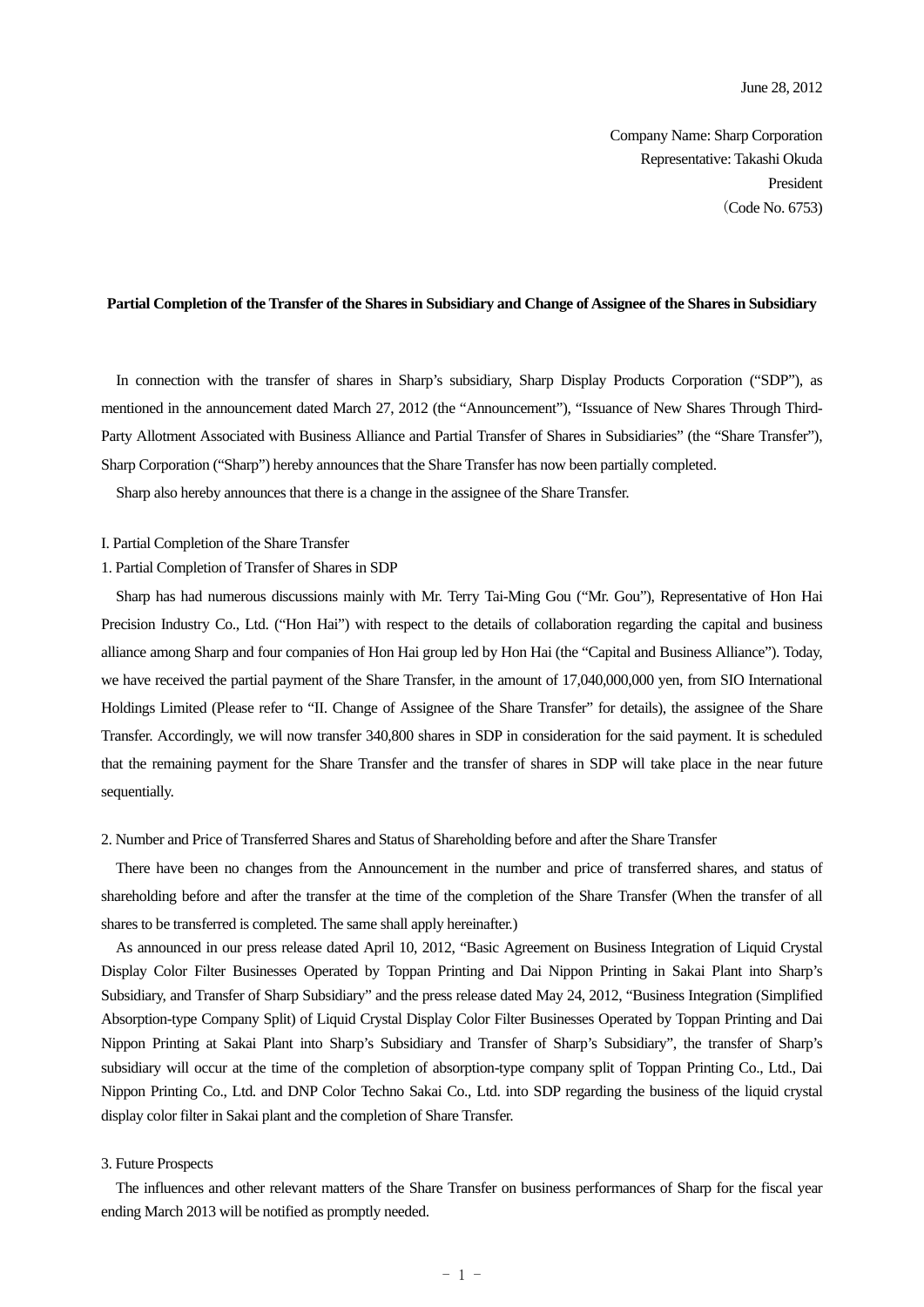Company Name: Sharp Corporation Representative: Takashi Okuda President (Code No. 6753)

#### **Partial Completion of the Transfer of the Shares in Subsidiary and Change of Assignee of the Shares in Subsidiary**

In connection with the transfer of shares in Sharp's subsidiary, Sharp Display Products Corporation ("SDP"), as mentioned in the announcement dated March 27, 2012 (the "Announcement"), "Issuance of New Shares Through Third-Party Allotment Associated with Business Alliance and Partial Transfer of Shares in Subsidiaries" (the "Share Transfer"), Sharp Corporation ("Sharp") hereby announces that the Share Transfer has now been partially completed.

Sharp also hereby announces that there is a change in the assignee of the Share Transfer.

#### I. Partial Completion of the Share Transfer

### 1. Partial Completion of Transfer of Shares in SDP

Sharp has had numerous discussions mainly with Mr. Terry Tai-Ming Gou ("Mr. Gou"), Representative of Hon Hai Precision Industry Co., Ltd. ("Hon Hai") with respect to the details of collaboration regarding the capital and business alliance among Sharp and four companies of Hon Hai group led by Hon Hai (the "Capital and Business Alliance"). Today, we have received the partial payment of the Share Transfer, in the amount of 17,040,000,000 yen, from SIO International Holdings Limited (Please refer to "II. Change of Assignee of the Share Transfer" for details), the assignee of the Share Transfer. Accordingly, we will now transfer 340,800 shares in SDP in consideration for the said payment. It is scheduled that the remaining payment for the Share Transfer and the transfer of shares in SDP will take place in the near future sequentially.

#### 2. Number and Price of Transferred Shares and Status of Shareholding before and after the Share Transfer

There have been no changes from the Announcement in the number and price of transferred shares, and status of shareholding before and after the transfer at the time of the completion of the Share Transfer (When the transfer of all shares to be transferred is completed. The same shall apply hereinafter.)

As announced in our press release dated April 10, 2012, "Basic Agreement on Business Integration of Liquid Crystal Display Color Filter Businesses Operated by Toppan Printing and Dai Nippon Printing in Sakai Plant into Sharp's Subsidiary, and Transfer of Sharp Subsidiary" and the press release dated May 24, 2012, "Business Integration (Simplified Absorption-type Company Split) of Liquid Crystal Display Color Filter Businesses Operated by Toppan Printing and Dai Nippon Printing at Sakai Plant into Sharp's Subsidiary and Transfer of Sharp's Subsidiary", the transfer of Sharp's subsidiary will occur at the time of the completion of absorption-type company split of Toppan Printing Co., Ltd., Dai Nippon Printing Co., Ltd. and DNP Color Techno Sakai Co., Ltd. into SDP regarding the business of the liquid crystal display color filter in Sakai plant and the completion of Share Transfer.

## 3. Future Prospects

The influences and other relevant matters of the Share Transfer on business performances of Sharp for the fiscal year ending March 2013 will be notified as promptly needed.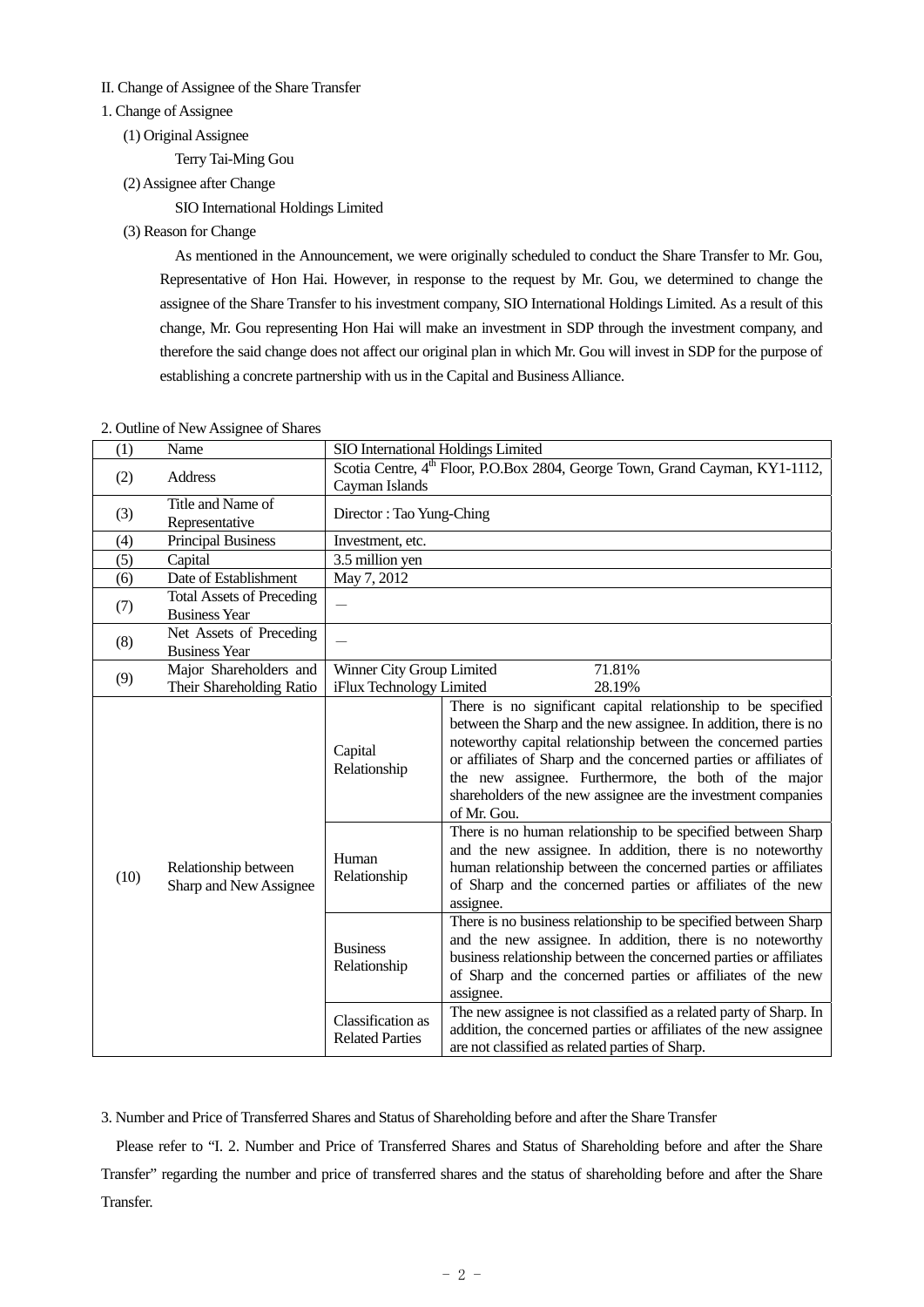### II. Change of Assignee of the Share Transfer

- 1. Change of Assignee
	- (1) Original Assignee

Terry Tai-Ming Gou

(2) Assignee after Change

SIO International Holdings Limited

(3) Reason for Change

As mentioned in the Announcement, we were originally scheduled to conduct the Share Transfer to Mr. Gou, Representative of Hon Hai. However, in response to the request by Mr. Gou, we determined to change the assignee of the Share Transfer to his investment company, SIO International Holdings Limited. As a result of this change, Mr. Gou representing Hon Hai will make an investment in SDP through the investment company, and therefore the said change does not affect our original plan in which Mr. Gou will invest in SDP for the purpose of establishing a concrete partnership with us in the Capital and Business Alliance.

| (1)         | Name                                                     | SIO International Holdings Limited                                                       |                                                                                                                                                                                                                                                                                                                                                                                                                |
|-------------|----------------------------------------------------------|------------------------------------------------------------------------------------------|----------------------------------------------------------------------------------------------------------------------------------------------------------------------------------------------------------------------------------------------------------------------------------------------------------------------------------------------------------------------------------------------------------------|
| (2)         | Address                                                  | Scotia Centre, 4 <sup>th</sup> Floor, P.O.Box 2804, George Town, Grand Cayman, KY1-1112, |                                                                                                                                                                                                                                                                                                                                                                                                                |
|             |                                                          | Cayman Islands                                                                           |                                                                                                                                                                                                                                                                                                                                                                                                                |
| (3)         | Title and Name of                                        | Director: Tao Yung-Ching                                                                 |                                                                                                                                                                                                                                                                                                                                                                                                                |
|             | Representative                                           |                                                                                          |                                                                                                                                                                                                                                                                                                                                                                                                                |
| (4)         | <b>Principal Business</b>                                | Investment, etc.                                                                         |                                                                                                                                                                                                                                                                                                                                                                                                                |
| (5)         | Capital                                                  | 3.5 million yen                                                                          |                                                                                                                                                                                                                                                                                                                                                                                                                |
| (6)         | Date of Establishment                                    | May 7, 2012                                                                              |                                                                                                                                                                                                                                                                                                                                                                                                                |
| (7)         | <b>Total Assets of Preceding</b><br><b>Business Year</b> |                                                                                          |                                                                                                                                                                                                                                                                                                                                                                                                                |
| (8)         | Net Assets of Preceding                                  |                                                                                          |                                                                                                                                                                                                                                                                                                                                                                                                                |
|             | <b>Business Year</b>                                     |                                                                                          |                                                                                                                                                                                                                                                                                                                                                                                                                |
| (9)<br>(10) | Major Shareholders and                                   | Winner City Group Limited<br>71.81%                                                      |                                                                                                                                                                                                                                                                                                                                                                                                                |
|             | Their Shareholding Ratio                                 | iFlux Technology Limited<br>28.19%                                                       |                                                                                                                                                                                                                                                                                                                                                                                                                |
|             | Relationship between<br>Sharp and New Assignee           | Capital<br>Relationship                                                                  | There is no significant capital relationship to be specified<br>between the Sharp and the new assignee. In addition, there is no<br>noteworthy capital relationship between the concerned parties<br>or affiliates of Sharp and the concerned parties or affiliates of<br>the new assignee. Furthermore, the both of the major<br>shareholders of the new assignee are the investment companies<br>of Mr. Gou. |
|             |                                                          | Human<br>Relationship                                                                    | There is no human relationship to be specified between Sharp<br>and the new assignee. In addition, there is no noteworthy<br>human relationship between the concerned parties or affiliates<br>of Sharp and the concerned parties or affiliates of the new<br>assignee.                                                                                                                                        |
|             |                                                          | <b>Business</b><br>Relationship                                                          | There is no business relationship to be specified between Sharp<br>and the new assignee. In addition, there is no noteworthy<br>business relationship between the concerned parties or affiliates<br>of Sharp and the concerned parties or affiliates of the new<br>assignee.                                                                                                                                  |
|             |                                                          | Classification as<br><b>Related Parties</b>                                              | The new assignee is not classified as a related party of Sharp. In<br>addition, the concerned parties or affiliates of the new assignee<br>are not classified as related parties of Sharp.                                                                                                                                                                                                                     |

### 2. Outline of New Assignee of Shares

3. Number and Price of Transferred Shares and Status of Shareholding before and after the Share Transfer

Please refer to "I. 2. Number and Price of Transferred Shares and Status of Shareholding before and after the Share Transfer" regarding the number and price of transferred shares and the status of shareholding before and after the Share Transfer.